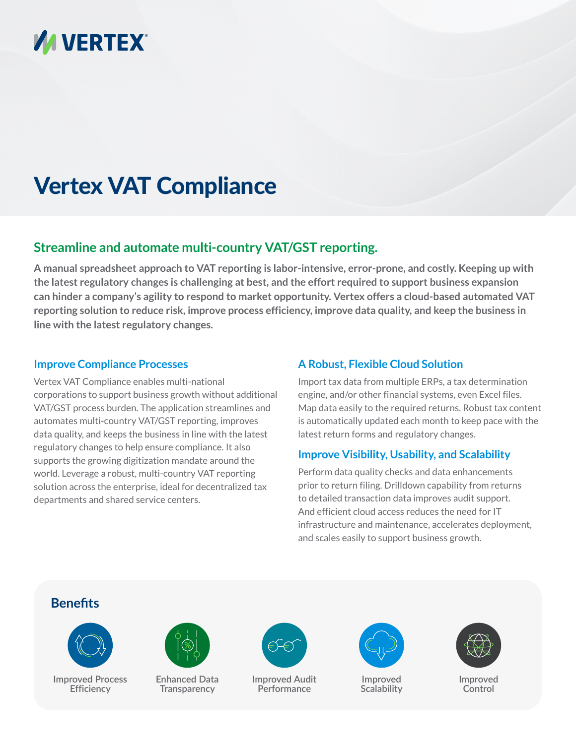

# Vertex VAT Compliance

## **Streamline and automate multi-country VAT/GST reporting.**

**A manual spreadsheet approach to VAT reporting is labor-intensive, error-prone, and costly. Keeping up with the latest regulatory changes is challenging at best, and the effort required to support business expansion can hinder a company's agility to respond to market opportunity. Vertex offers a cloud-based automated VAT reporting solution to reduce risk, improve process efficiency, improve data quality, and keep the business in line with the latest regulatory changes.**

#### **Improve Compliance Processes**

Vertex VAT Compliance enables multi-national corporations to support business growth without additional VAT/GST process burden. The application streamlines and automates multi-country VAT/GST reporting, improves data quality, and keeps the business in line with the latest regulatory changes to help ensure compliance. It also supports the growing digitization mandate around the world. Leverage a robust, multi-country VAT reporting solution across the enterprise, ideal for decentralized tax departments and shared service centers.

### **A Robust, Flexible Cloud Solution**

Import tax data from multiple ERPs, a tax determination engine, and/or other financial systems, even Excel files. Map data easily to the required returns. Robust tax content is automatically updated each month to keep pace with the latest return forms and regulatory changes.

## **Improve Visibility, Usability, and Scalability**

Perform data quality checks and data enhancements prior to return filing. Drilldown capability from returns to detailed transaction data improves audit support. And efficient cloud access reduces the need for IT infrastructure and maintenance, accelerates deployment, and scales easily to support business growth.

## **Benefits**



**Improved Process Efficiency**



**Enhanced Data Transparency**



**Improved Audit Performance**



**Improved Scalability**



**Improved Control**